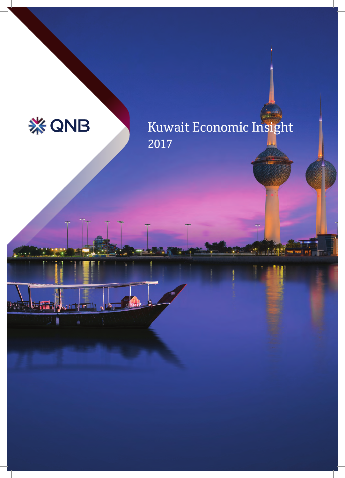

**The Secret Secrets** 

By Tunn

 $\blacksquare$ 

 $\mathbf{v}$ 

# Kuwait Economic Insight 2017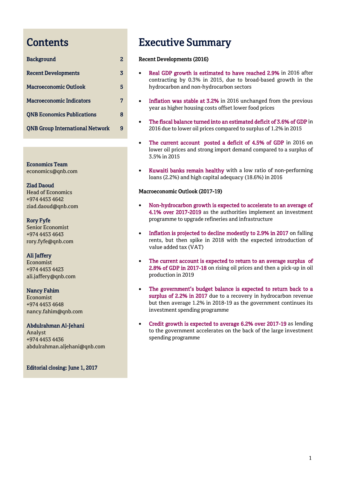# <span id="page-1-0"></span>**Contents**

| <b>Background</b>                      |   |
|----------------------------------------|---|
| <b>Recent Developments</b>             | 3 |
| <b>Macroeconomic Outlook</b>           | 5 |
| <b>Macroeconomic Indicators</b>        | 7 |
| <b>QNB Economics Publications</b>      | 8 |
| <b>QNB Group International Network</b> |   |

Economics Team [economics@qnb.com](http://qnbportal/Divisions/Strategy/Groupstrategy/Documents/Economics%20and%20Investor%20Relations/Economics/EFAR%20Country%20Analysis/GCC/Qatar/EIR%20-%20Sep%202015/draft/economics@qnb.com)

Ziad Daoud Head of Economics +974 4453 4642 [ziad.daoud@qnb.com](http://qnbportal/Divisions/Strategy/Groupstrategy/Documents/Economics%20and%20Investor%20Relations/Economics/EFAR%20Country%20Analysis/GCC/Qatar/EIR%20-%20Sep%202015/draft/ziad.daoud@qnb.com)

Rory Fyfe Senior Economist +974 4453 4643 [rory.fyfe@qnb.com](http://qnbportal/Divisions/Strategy/Groupstrategy/Documents/Economics%20and%20Investor%20Relations/Economics/EFAR%20Country%20Analysis/GCC/Qatar/EIR%20-%20Sep%202015/draft/rory.fyfe@qnb.com)

# Ali Jaffery

Economist +974 4453 4423 ali.jaffery@qnb.com

# Nancy Fahim

Economist +974 4453 4648 nancy.fahim@qnb.com

# Abdulrahman Al-Jehani Analyst +974 4453 4436 abdulrahman.aljehani@qnb.com

Editorial closing: June 1, 2017

# Executive Summary

# Recent Developments (2016)

- Real GDP growth is estimated to have reached 2.9% in 2016 after contracting by 0.3% in 2015, due to broad-based growth in the hydrocarbon and non-hydrocarbon sectors
- Inflation was stable at 3.2% in 2016 unchanged from the previous year as higher housing costs offset lower food prices
- The fiscal balance turned into an estimated deficit of 3.6% of GDP in 2016 due to lower oil prices compared to surplus of 1.2% in 2015
- The current account posted a deficit of 4.5% of GDP in 2016 on lower oil prices and strong import demand compared to a surplus of 3.5% in 2015
- Kuwaiti banks remain healthy with a low ratio of non-performing loans (2.2%) and high capital adequacy (18.6%) in 2016

# Macroeconomic Outlook (2017-19)

- Non-hydrocarbon growth is expected to accelerate to an average of 4.1% over 2017-2019 as the authorities implement an investment programme to upgrade refineries and infrastructure
- Inflation is projected to decline modestly to 2.9% in 2017 on falling rents, but then spike in 2018 with the expected introduction of value added tax (VAT)
- The current account is expected to return to an average surplus of 2.8% of GDP in 2017-18 on rising oil prices and then a pick-up in oil production in 2019
- The government's budget balance is expected to return back to a surplus of 2.2% in 2017 due to a recovery in hydrocarbon revenue but then average 1.2% in 2018-19 as the government continues its investment spending programme
- Credit growth is expected to average 6.2% over 2017-19 as lending to the government accelerates on the back of the large investment spending programme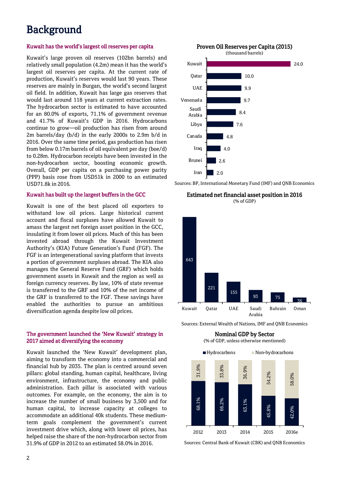# Background

# Kuwait has the world's largest oil reserves per capita

Kuwait's large proven oil reserves (102bn barrels) and relatively small population (4.2m) mean it has the world's largest oil reserves per capita. At the current rate of production, Kuwait's reserves would last 90 years. These reserves are mainly in Burgan, the world's second largest oil field. In addition, Kuwait has large gas reserves that would last around 118 years at current extraction rates. The hydrocarbon sector is estimated to have accounted for an 80.0% of exports, 71.1% of government revenue and 41.7% of Kuwait's GDP in 2016. Hydrocarbons continue to grow—oil production has risen from around 2m barrels/day (b/d) in the early 2000s to 2.9m b/d in 2016. Over the same time period, gas production has risen from below 0.17m barrels of oil equivalent per day (boe/d) to 0.28m. Hydrocarbon receipts have been invested in the non-hydrocarbon sector, boosting economic growth. Overall, GDP per capita on a purchasing power parity (PPP) basis rose from USD51k in 2000 to an estimated USD71.8k in 2016.

## Kuwait has built up the largest buffers in the GCC

Kuwait is one of the best placed oil exporters to withstand low oil prices. Large historical current account and fiscal surpluses have allowed Kuwait to amass the largest net foreign asset position in the GCC, insulating it from lower oil prices. Much of this has been invested abroad through the Kuwait Investment Authority's (KIA) Future Generation's Fund (FGF). The FGF is an intergenerational saving platform that invests a portion of government surpluses abroad. The KIA also manages the General Reserve Fund (GRF) which holds government assets in Kuwait and the region as well as foreign currency reserves. By law, 10% of state revenue is transferred to the GRF and 10% of the net income of the GRF is transferred to the FGF. These savings have enabled the authorities to pursue an ambitious diversification agenda despite low oil prices.

# The government launched the 'New Kuwait' strategy in 2017 aimed at diversifying the economy

Kuwait launched the 'New Kuwait' development plan, aiming to transform the economy into a commercial and financial hub by 2035. The plan is centred around seven pillars: global standing, human capital, healthcare, living environment, infrastructure, the economy and public administration. Each pillar is associated with various outcomes. For example, on the economy, the aim is to increase the number of small business by 3,500 and for human capital, to increase capacity at colleges to accommodate an additional 40k students. These mediumterm goals complement the government's current investment drive which, along with lower oil prices, has helped raise the share of the non-hydrocarbon sector from 31.9% of GDP in 2012 to an estimated 58.0% in 2016.

Proven Oil Reserves per Capita (2015)



Sources: BP, International Monetary Fund (IMF) and QNB Economics

Estimated net financial asset position in 2016 (% of GDP)



Sources: External Wealth of Nations, IMF and QNB Economics



Sources: Central Bank of Kuwait (CBK) and QNB Economics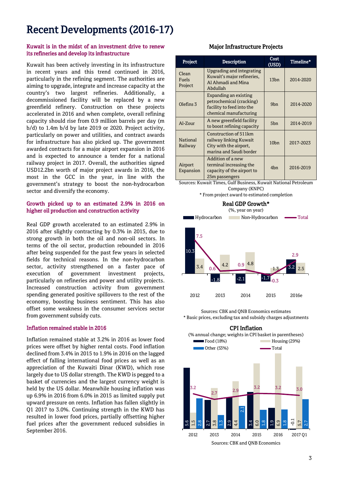# Recent Developments (2016-17)

# Kuwait is in the midst of an investment drive to renew its refineries and develop its infrastructure

Kuwait has been actively investing in its infrastructure in recent years and this trend continued in 2016, particularly in the refining segment. The authorities are aiming to upgrade, integrate and increase capacity at the country's two largest refineries. Additionally, a decommissioned facility will be replaced by a new greenfield refinery. Construction on these projects accelerated in 2016 and when complete, overall refining capacity should rise from 0.9 million barrels per day (m b/d) to 1.4m b/d by late 2019 or 2020. Project activity, particularly on power and utilities, and contract awards for infrastructure has also picked up. The government awarded contracts for a major airport expansion in 2016 and is expected to announce a tender for a national railway project in 2017. Overall, the authorities signed USD12.2bn worth of major project awards in 2016, the most in the GCC in the year, in line with the government's strategy to boost the non-hydrocarbon sector and diversify the economy.

# Growth picked up to an estimated 2.9% in 2016 on higher oil production and construction activity

Real GDP growth accelerated to an estimated 2.9% in 2016 after slightly contracting by 0.3% in 2015, due to strong growth in both the oil and non-oil sectors. In terms of the oil sector, production rebounded in 2016 after being suspended for the past few years in selected fields for technical reasons. In the non-hydrocarbon sector, activity strengthened on a faster pace of execution of government investment projects, particularly on refineries and power and utility projects. Increased construction activity from government spending generated positive spillovers to the rest of the economy, boosting business sentiment. This has also offset some weakness in the consumer services sector from government subsidy cuts.

## Inflation remained stable in 2016

Inflation remained stable at 3.2% in 2016 as lower food prices were offset by higher rental costs. Food inflation declined from 3.4% in 2015 to 1.9% in 2016 on the lagged effect of falling international food prices as well as an appreciation of the Kuwaiti Dinar (KWD), which rose largely due to US dollar strength. The KWD is pegged to a basket of currencies and the largest currency weight is held by the US dollar. Meanwhile housing inflation was up 6.9% in 2016 from 6.0% in 2015 as limited supply put upward pressure on rents. Inflation has fallen slightly in Q1 2017 to 3.0%. Continuing strength in the KWD has resulted in lower food prices, partially offsetting higher fuel prices after the government reduced subsidies in September 2016.

# Major Infrastructure Projects

| Project                   | <b>Description</b>                                                                                                                                                   | Cost<br>(USD)    | Timeline* |
|---------------------------|----------------------------------------------------------------------------------------------------------------------------------------------------------------------|------------------|-----------|
| Clean<br>Fuels<br>Project | Upgrading and integrating<br>Kuwait's major refineries,<br>Al Ahmadi and Mina<br>Abdullah                                                                            | 13 <sub>bn</sub> | 2014-2020 |
| Olefins <sub>3</sub>      | Expanding an existing<br>petrochemical (cracking)<br>facility to feed into the<br>chemical manufacturing                                                             | 9b <sub>n</sub>  | 2014-2020 |
| Al-Zour                   | A new greenfield facility<br>to boost refining capacity                                                                                                              | 5b <sub>n</sub>  | 2014-2019 |
| National<br>Railway       | Construction of 511km<br>railway linking Kuwait<br>City with the airport,<br>marina and Saudi border                                                                 | 10 <sub>bn</sub> | 2017-2023 |
| Airport<br>Expansion      | Addition of a new<br>terminal increasing the<br>capacity of the airport to<br>25m passengers<br>Courses Universit Times, Culf Business, Universit National Betroleum | 4 <sub>bn</sub>  | 2016-2019 |

Sources: Kuwait Times, Gulf Business, Kuwait National Petroleum Company (KNPC)

\* From project award to estimated completion



Sources: CBK and QNB Economics estimates \* Basic prices, excluding tax and subsidy charges adjustments



3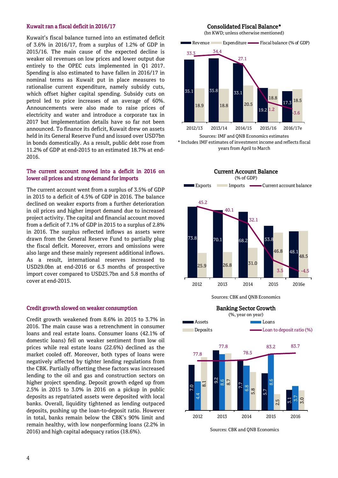# Kuwait ran a fiscal deficit in 2016/17

Kuwait's fiscal balance turned into an estimated deficit of 3.6% in 2016/17, from a surplus of 1.2% of GDP in 2015/16. The main cause of the expected decline is weaker oil revenues on low prices and lower output due entirely to the OPEC cuts implemented in Q1 2017. Spending is also estimated to have fallen in 2016/17 in nominal terms as Kuwait put in place measures to rationalise current expenditure, namely subsidy cuts, which offset higher capital spending. Subsidy cuts on petrol led to price increases of an average of 60%. Announcements were also made to raise prices of electricity and water and introduce a corporate tax in 2017 but implementation details have so far not been announced. To finance its deficit, Kuwait drew on assets held in its General Reserve Fund and issued over USD7bn in bonds domestically. As a result, public debt rose from 11.2% of GDP at end-2015 to an estimated 18.7% at end-2016.

# The current account moved into a deficit in 2016 on lower oil prices and strong demand for imports

The current account went from a surplus of 3.5% of GDP in 2015 to a deficit of 4.5% of GDP in 2016. The balance declined on weaker exports from a further deterioration in oil prices and higher import demand due to increased project activity. The capital and financial account moved from a deficit of 7.1% of GDP in 2015 to a surplus of 2.8% in 2016. The surplus reflected inflows as assets were drawn from the General Reserve Fund to partially plug the fiscal deficit. Moreover, errors and omissions were also large and these mainly represent additional inflows. As a result, international reserves increased to USD29.0bn at end-2016 or 6.3 months of prospective import cover compared to USD25.7bn and 5.8 months of cover at end-2015.

### Credit growth slowed on weaker consumption

Credit growth weakened from 8.6% in 2015 to 3.7% in 2016. The main cause was a retrenchment in consumer loans and real estate loans. Consumer loans (42.1% of domestic loans) fell on weaker sentiment from low oil prices while real estate loans (22.6%) declined as the market cooled off. Moreover, both types of loans were negatively affected by tighter lending regulations from the CBK. Partially offsetting these factors was increased lending to the oil and gas and construction sectors on higher project spending. Deposit growth edged up from 2.5% in 2015 to 3.0% in 2016 on a pickup in public deposits as repatriated assets were deposited with local banks. Overall, liquidity tightened as lending outpaced deposits, pushing up the loan-to-deposit ratio. However in total, banks remain below the CBK's 90% limit and remain healthy, with low nonperforming loans (2.2% in 2016) and high capital adequacy ratios (18.6%).

### Consolidated Fiscal Balance\*

(bn KWD; unless otherwise mentioned)





Sources: IMF and QNB Economics estimates \* Includes IMF estimates of investment income and reflects fiscal years from April to March



Sources: CBK and QNB Economics



Sources: CBK and QNB Economics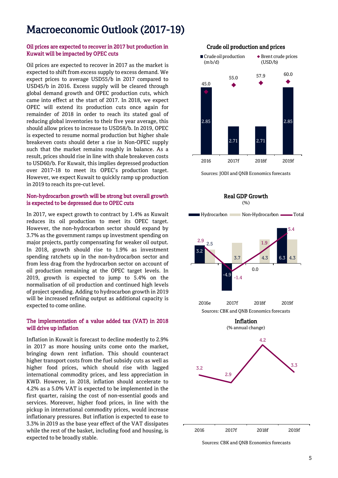# Macroeconomic Outlook (2017-19)

# Oil prices are expected to recover in 2017 but production in Kuwait will be impacted by OPEC cuts

Oil prices are expected to recover in 2017 as the market is expected to shift from excess supply to excess demand. We expect prices to average USD55/b in 2017 compared to USD45/b in 2016. Excess supply will be cleared through global demand growth and OPEC production cuts, which came into effect at the start of 2017. In 2018, we expect OPEC will extend its production cuts once again for remainder of 2018 in order to reach its stated goal of reducing global inventories to their five year average, this should allow prices to increase to USD58/b. In 2019, OPEC is expected to resume normal production but higher shale breakeven costs should deter a rise in Non-OPEC supply such that the market remains roughly in balance. As a result, prices should rise in line with shale breakeven costs to USD60/b. For Kuwait, this implies depressed production over 2017-18 to meet its OPEC's production target. However, we expect Kuwait to quickly ramp up production in 2019 to reach its pre-cut level.

# Non-hydrocarbon growth will be strong but overall growth is expected to be depressed due to OPEC cuts

In 2017, we expect growth to contract by 1.4% as Kuwait reduces its oil production to meet its OPEC target. However, the non-hydrocarbon sector should expand by 3.7% as the government ramps up investment spending on major projects, partly compensating for weaker oil output. In 2018, growth should rise to 1.9% as investment spending ratchets up in the non-hydrocarbon sector and from less drag from the hydrocarbon sector on account of oil production remaining at the OPEC target levels. In 2019, growth is expected to jump to 5.4% on the normalisation of oil production and continued high levels of project spending. Adding to hydrocarbon growth in 2019 will be increased refining output as additional capacity is expected to come online.

# The implementation of a value added tax (VAT) in 2018 will drive up inflation

Inflation in Kuwait is forecast to decline modestly to 2.9% in 2017 as more housing units come onto the market, bringing down rent inflation. This should counteract higher transport costs from the fuel subsidy cuts as well as higher food prices, which should rise with lagged international commodity prices, and less appreciation in KWD. However, in 2018, inflation should accelerate to 4.2% as a 5.0% VAT is expected to be implemented in the first quarter, raising the cost of non-essential goods and services. Moreover, higher food prices, in line with the pickup in international commodity prices, would increase inflationary pressures. But inflation is expected to ease to 3.3% in 2019 as the base year effect of the VAT dissipates while the rest of the basket, including food and housing, is expected to be broadly stable.



Sources: JODI and QNB Economics forecasts



Sources: CBK and QNB Economics forecasts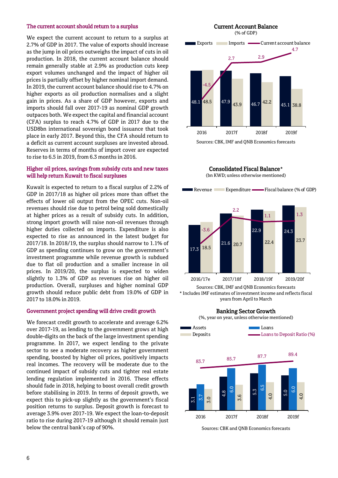#### The current account should return to a surplus

We expect the current account to return to a surplus at 2.7% of GDP in 2017. The value of exports should increase as the jump in oil prices outweighs the impact of cuts in oil production. In 2018, the current account balance should remain generally stable at 2.9% as production cuts keep export volumes unchanged and the impact of higher oil prices is partially offset by higher nominal import demand. In 2019, the current account balance should rise to 4.7% on higher exports as oil production normalises and a slight gain in prices. As a share of GDP however, exports and imports should fall over 2017-19 as nominal GDP growth outpaces both. We expect the capital and financial account (CFA) surplus to reach 4.7% of GDP in 2017 due to the USD8bn international sovereign bond issuance that took place in early 2017. Beyond this, the CFA should return to a deficit as current account surpluses are invested abroad. Reserves in terms of months of import cover are expected to rise to 6.5 in 2019, from 6.3 months in 2016.

## Higher oil prices, savings from subsidy cuts and new taxes will help return Kuwait to fiscal surpluses

Kuwait is expected to return to a fiscal surplus of 2.2% of GDP in 2017/18 as higher oil prices more than offset the effects of lower oil output from the OPEC cuts. Non-oil revenues should rise due to petrol being sold domestically at higher prices as a result of subsidy cuts. In addition, strong import growth will raise non-oil revenues through higher duties collected on imports. Expenditure is also expected to rise as announced in the latest budget for 2017/18. In 2018/19, the surplus should narrow to 1.1% of GDP as spending continues to grow on the government's investment programme while revenue growth is subdued due to flat oil production and a smaller increase in oil prices. In 2019/20, the surplus is expected to widen slightly to 1.3% of GDP as revenues rise on higher oil production. Overall, surpluses and higher nominal GDP growth should reduce public debt from 19.0% of GDP in 2017 to 18.0% in 2019.

### Government project spending will drive credit growth

We forecast credit growth to accelerate and average 6.2% over 2017-19, as lending to the government grows at high double-digits on the back of the large investment spending programme. In 2017, we expect lending to the private sector to see a moderate recovery as higher government spending, boosted by higher oil prices, positively impacts real incomes. The recovery will be moderate due to the continued impact of subsidy cuts and tighter real estate lending regulation implemented in 2016. These effects should fade in 2018, helping to boost overall credit growth before stabilising in 2019. In terms of deposit growth, we expect this to pick-up slightly as the government's fiscal position returns to surplus. Deposit growth is forecast to average 3.9% over 2017-19. We expect the loan-to-deposit ratio to rise during 2017-19 although it should remain just below the central bank's cap of 90%.



Sources: CBK, IMF and QNB Economics forecasts



(bn KWD; unless otherwise mentioned)



\* Includes IMF estimates of investment income and reflects fiscal years from April to March

Banking Sector Growth



Sources: CBK and QNB Economics forecasts

#### 6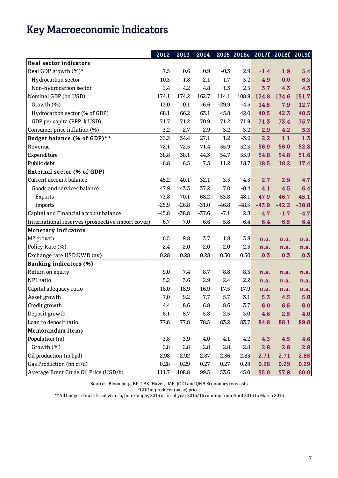# Key Macroeconomic Indicators

|                                                   | 2012    | 2013    | 2014    |         |         | 2015 2016e 2017f 2018f 2019f |         |         |
|---------------------------------------------------|---------|---------|---------|---------|---------|------------------------------|---------|---------|
| <b>Real sector indicators</b>                     |         |         |         |         |         |                              |         |         |
| Real GDP growth (%)*                              | 7.5     | 0.6     | 0.9     | $-0.3$  | 2.9     | $-1.4$                       | 1.9     | 5.4     |
| Hydrocarbon sector                                | 10.3    | $-1.8$  | $-2.1$  | $-1.7$  | 3.2     | $-4.9$                       | 0.0     | 6.3     |
| Non-hydrocarbon sector                            | 3.4     | 4.2     | 4.8     | 1.3     | 2.5     | 3.7                          | 4.3     | 4.3     |
| Nominal GDP (bn USD)                              | 174.1   | 174.2   | 162.7   | 114.1   | 108.9   | 124.8                        | 134.6   | 151.7   |
| Growth (%)                                        | 13.0    | 0.1     | $-6.6$  | $-29.9$ | $-4.5$  | 14.5                         | 7.9     | 12.7    |
| Hydrocarbon sector (% of GDP)                     | 68.1    | 66.2    | 63.1    | 45.8    | 42.0    | 40.5                         | 42.3    | 40.5    |
| GDP per capita (PPP, k USD)                       | 71.7    | 71.2    | 70.9    | 71.2    | 71.9    | 71.3                         | 73.4    | 75.7    |
| Consumer price inflation (%)                      | 3.2     | 2.7     | 2.9     | 3.2     | 3.2     | 2.9                          | 4.2     | 3.3     |
| Budget balance (% of GDP)**                       | 33.3    | 34.4    | 27.1    | 1.2     | $-3.6$  | 2.2                          | 1.1     | 1.3     |
| Revenue                                           | 72.1    | 72.5    | 71.4    | 55.9    | 52.3    | 56.9                         | 56.0    | 52.8    |
| Expenditure                                       | 38.8    | 38.1    | 44.3    | 54.7    | 55.9    | 54.8                         | 54.8    | 51.6    |
| Public debt                                       | 6.8     | 6.5     | 7.5     | 11.2    | 18.7    | 18.5                         | 18.2    | 17.4    |
| <b>External sector (% of GDP)</b>                 |         |         |         |         |         |                              |         |         |
| Current account balance                           | 45.2    | 40.1    | 32.1    | 3.5     | $-4.5$  | 2.7                          | 2.9     | 4.7     |
| Goods and services balance                        | 47.9    | 43.3    | 37.2    | 7.0     | $-0.4$  | 4.1                          | 4.5     | 6.4     |
| Exports                                           | 73.8    | 70.1    | 68.2    | 53.8    | 48.1    | 47.9                         | 46.7    | 45.1    |
| Imports                                           | $-25.9$ | $-26.8$ | $-31.0$ | $-46.8$ | $-48.5$ | $-43.9$                      | $-42.2$ | $-38.8$ |
| Capital and Financial account balance             | $-45.8$ | $-38.8$ | $-37.6$ | $-7.1$  | 2.8     | 4.7                          | $-1.7$  | $-4.7$  |
| International reserves (prospective import cover) | 6.7     | 7.0     | 6.6     | 5.8     | 6.4     | 6.4                          | 6.5     | 6.4     |
| Monetary indicators                               |         |         |         |         |         |                              |         |         |
| M2 growth                                         | 6.5     | 9.8     | 3.7     | 1.8     | 3.8     | n.a.                         | n.a.    | n.a.    |
| Policy Rate (%)                                   | 2.4     | 2.0     | 2.0     | 2.0     | 2.3     | n.a.                         | n.a.    | n.a.    |
| Exchange rate USD:KWD (av)                        | 0.28    | 0.28    | 0.28    | 0.30    | 0.30    | 0.3                          | 0.3     | 0.3     |
| <b>Banking indicators (%)</b>                     |         |         |         |         |         |                              |         |         |
| Return on equity                                  | 9.0     | 7.4     | 8.7     | 8.8     | 8.3     | n.a.                         | n.a.    | n.a.    |
| NPL ratio                                         | 5.2     | 3.6     | 2.9     | 2.4     | 2.2     | n.a.                         | n.a.    | n.a.    |
| Capital adequacy ratio                            | 18.0    | 18.9    | 16.9    | 17.5    | 17.9    | n.a.                         | n.a.    | n.a.    |
| Asset growth                                      | 7.0     | 9.2     | 7.7     | 5.7     | 3.1     | 5.3                          | 4.5     | 5.0     |
| Credit growth                                     | 4.4     | 8.6     | 6.8     | 8.6     | 3.7     | 6.0                          | 6.5     | 6.0     |
| Deposit growth                                    | 8.1     | 8.7     | 5.8     | 2.5     | 3.0     | 4.6                          | 2.5     | 4.0     |
| Loan to deposit ratio                             | 77.8    | 77.8    | 78.5    | 83.2    | 83.7    | 84.8                         | 88.1    | 89.8    |
| Memorandum items                                  |         |         |         |         |         |                              |         |         |
| Population (m)                                    | 3.8     | 3.9     | 4.0     | 4.1     | 4.2     | 4.3                          | 4.5     | 4.6     |
| Growth (%)                                        | 2.8     | 2.8     | 2.8     | 2.8     | 2.8     | 2.8                          | 2.8     | 2.8     |
| Oil production (m bpd)                            | 2.98    | 2.92    | 2.87    | 2.86    | 2.85    | 2.71                         | 2.71    | 2.85    |
| Gas Production (bn cf/d)                          | 0.28    | 0.29    | 0.27    | 0.27    | 0.28    | 0.28                         | 0.29    | 0.29    |
| Average Brent Crude Oil Price (USD/b)             | 111.7   | 108.8   | 99.5    | 53.6    | 45.0    | 55.0                         | 57.9    | 60.0    |

Sources: Bloomberg, BP, CBK, Haver, IMF, JODI and QNB Economics forecasts

\*GDP at producer (basic) prices

\*\*All budget data is fiscal year so, for example, 2015 is fiscal year 2015/16 running from April 2015 to March 2016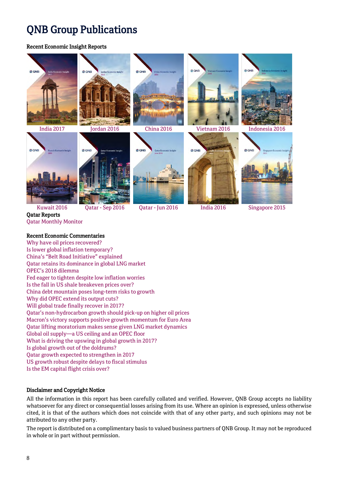# QNB Group Publications

# Recent Economic Insight Reports



Qatar Reports [Qatar Monthly Monitor](http://www.qnb.com/cs/Satellite/QNBQatar/en_QA/InvestorRelations/enQatarMonthlyMonitor) 

# Recent Economic Commentaries

[Why have oil prices recovered?](http://www.qnb.com/cs/Satellite?c=QNBNews_C&cid=1355414672012&locale=1338474029767&p=1344242846789&pagename=QNBQatar%2FQNBLayout)  [Is lower global inflation temporary?](http://www.qnb.com/cs/Satellite?c=QNBNews_C&cid=1355414654831&locale=1338474029767&p=1344242846789&pagename=QNBQatar%2FQNBLayout)  China's "Belt Road Initiative" [explained](http://www.qnb.com/cs/Satellite?c=QNBNews_C&cid=1355414637614&locale=1338474029767&p=1344242846789&pagename=QNBQatar%2FQNBLayout)  [Qatar retains its dominance in global LNG market](http://www.qnb.com/cs/Satellite?c=QNBNews_C&cid=1355414607506&locale=1338474029767&p=1344242846789&pagename=QNBQatar%2FQNBLayout)  OPEC's [2018 dilemma](http://www.qnb.com/cs/Satellite?c=QNBNews_C&cid=1355414503999&locale=1338474029767&p=1344242846789&pagename=QNBQatar%2FQNBLayout)  Fed eager [to tighten despite low inflation worries](http://www.qnb.com/cs/Satellite?c=QNBNews_C&cid=1355414353870&locale=1338474029767&p=1344242846789&pagename=QNBQatar%2FQNBLayout)  Is the fall in [US shale breakeven prices over?](http://www.qnb.com/cs/Satellite?c=QNBNews_C&cid=1355414317014&locale=1338474029767&p=1344242846789&pagename=QNBQatar%2FQNBLayout)  [China debt mountain poses long-term risks to growth](http://www.qnb.com/cs/Satellite?c=QNBNews_C&cid=1355414156893&locale=1338474029767&p=1344242846789&pagename=QNBQatar%2FQNBLayout)  Why [did OPEC extend its output cuts?](http://www.qnb.com/cs/Satellite?c=QNBNews_C&cid=1355414133572&locale=1338474029767&p=1344242846789&pagename=QNBQatar%2FQNBLayout)  [Will global trade finally recover in 2017?](http://www.qnb.com/cs/Satellite?c=QNBNews_C&cid=1355414116806&locale=1338474029767&p=1344242846789&pagename=QNBQatar%2FQNBLayout)  Qatar's [non-hydrocarbon growth should pick-up](http://www.qnb.com/cs/Satellite?c=QNBNews_C&cid=1355414069212&locale=1338474029767&p=1344242846789&pagename=QNBQatar%2FQNBLayout) on higher oil prices Macron's [victory supports positive growth momentum for Euro Area](http://www.qnb.com/cs/Satellite?c=QNBNews_C&cid=1355412296916&locale=1338474029767&p=1344242846789&pagename=QNBQatar%2FQNBLayout)  [Qatar lifting moratorium makes sense given LNG market dynamics](http://www.qnb.com/cs/Satellite?c=QNBNews_C&cid=1355412126938&locale=1338474029767&p=1344242846789&pagename=QNBQatar%2FQNBLayout) Global oil supply—[a US ceiling and an OPEC floor](http://www.qnb.com/cs/Satellite?c=QNBNews_C&cid=1355411679208&locale=1338474029767&p=1344242846789&pagename=QNBQatar%2FQNBLayout) [What is driving the upswing in global growth in](http://www.qnb.com/cs/Satellite?c=QNBNews_C&cid=1355411624280&locale=1338474029767&p=1344242846789&pagename=QNBQatar%2FQNBLayout) 2017? [Is global growth out of the doldrums?](http://www.qnb.com/cs/Satellite?c=QNBNews_C&cid=1355411562718&locale=1338474029767&p=1344242846789&pagename=QNBQatar%2FQNBLayout) [Qatar growth expected to strengthen in](http://www.qnb.com/cs/Satellite?c=QNBNews_C&cid=1355411524130&locale=1338474029767&p=1344242846789&pagename=QNBQatar%2FQNBLayout) 2017 [US growth robust despite delays to fiscal stimulus](http://www.qnb.com/cs/Satellite?c=QNBNews_C&cid=1355411512384&locale=1338474029767&p=1344242846789&pagename=QNBQatar%2FQNBLayout)  [Is the EM capital flight crisis over?](http://www.qnb.com/cs/Satellite?c=QNBNews_C&cid=1355411478182&locale=1338474029767&p=1344242846789&pagename=QNBQatar%2FQNBLayout)

# Disclaimer and Copyright Notice

All the information in this report has been carefully collated and verified. However, QNB Group accepts no liability whatsoever for any direct or consequential losses arising from its use. Where an opinion is expressed, unless otherwise cited, it is that of the authors which does not coincide with that of any other party, and such opinions may not be attributed to any other party.

The report is distributed on a complimentary basis to valued business partners of QNB Group. It may not be reproduced in whole or in part without permission.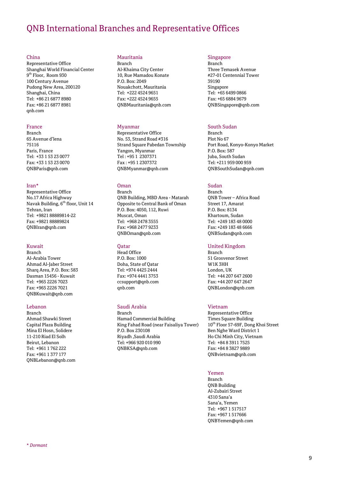# QNB International Branches and Representative Offices

#### China

Representative Office Shanghai World Financial Center 9 th Floor, Room 930 100 Century Avenue Pudong New Area, 200120 Shanghai, China Tel: +86 21 6877 8980 Fax: +86 21 6877 8981 qnb.com

#### France

Branch 65 Avenue d'lena 75116 Paris, France Tel: +33 1 53 23 0077 Fax: +33 1 53 23 0070 [QNBParis@qnb.com](mailto:QNBParis@qnb.com.qa)

#### Iran\*

Representative Office No.17 Africa Highway Navak Building, 6<sup>th</sup> floor, Unit 14 Tehran, Iran Tel: +9821 88889814-22 Fax: +9821 88889824 [QNBIran@qnb.com](mailto:QNBIran@qnb.com.qa)

#### Kuwait

Branch Al-Arabia Tower Ahmad Al-Jaber Street Sharq Area, P.O. Box: 583 Dasman 15456 - Kuwait Tel: +965 2226 7023 Fax: +965 2226 7021 [QNBKuwait@qnb.com](mailto:QNBKuwait@qnb.com.qa)

#### Lebanon

Branch Ahmad Shawki Street Capital Plaza Building Mina El Hosn, Solidere 11-210 Riad El Solh Beirut, Lebanon Tel: +961 1 762 222 Fax: +961 1 377 177 [QNBLebanon@qnb.com](mailto:QNBLebanon@qnb.com.qa)

#### Mauritania

Branch Al-Khaima City Center 10, Rue Mamadou Konate P.O. Box: 2049 Nouakchott, Mauritania Tel: +222 4524 9651 Fax: +222 4524 9655 [QNBMauritania@qnb.com](mailto:QNBMauritania@qnb.com.qa)

### Myanmar

Representative Office No. 53, Strand Road #316 Strand Square Pabedan Township Yangon, Myanmar Tel : +95 1 2307371 Fax : +95 1 2307372 QNBMyanmar@qnb.com

### Oman

Branch QNB Building, MBD Area - Matarah Opposite to Central Bank of Oman P.O. Box: 4050, 112, Ruwi Muscat, Oman Tel: +968 2478 3555 Fax: +968 2477 9233 [QNBOman@qnb.com](mailto:QNBOman@qnb.com.qa)

#### Qatar

Head Office P.O. Box: 1000 Doha, State of Qatar Tel: +974 4425 2444 Fax: +974 4441 3753 ccsupport@qnb.com qnb.com

# Saudi Arabia

Branch Hamad Commercial Building King Fahad Road (near Faisaliya Tower) P.O. Box 230108 Riyadh ,Saudi Arabia Tel: +966 920 010 990 QNBKSA@qnb.com

#### Singapore

Branch Three Temasek Avenue #27-01 Centennial Tower 39190 Singapore Tel: +65 6499 0866 Fax: +65 6884 9679 [QNBSingapore@qnb.com](mailto:QNBSingapore@qnb.com.qa)

# South Sudan

Branch Plot No 67 Port Road, Konyo-Konyo Market P.O. Box: 587 Juba, South Sudan Tel: +211 959 000 959 [QNBSouthSudan@qnb.com](mailto:QNBSouthSudan@qnb.com.qa)

## Sudan

Branch QNB Tower – Africa Road Street 17, Amarat P.O. Box: 8134 Khartoum, Sudan Tel: +249 183 48 0000 Fax: +249 183 48 6666 [QNBSudan@qnb.com](mailto:QNBSudan@qnb.com.qa)

#### United Kingdom

Branch 51 Grosvenor Street W1K 3HH London, UK Tel: +44 207 647 2600 Fax: +44 207 647 2647 [QNBLondon@qnb.com](mailto:QNBLondon@qnb.com.qa)

#### Vietnam

Representative Office Times Square Building 10<sup>th</sup> Floor 57-69F, Dong Khoi Street Ben Nghe Ward District 1 Ho Chi Minh City, Vietnam Tel: +84 8 3911 7525 Fax: +84 8 3827 9889 [QNBvietnam@qnb.com](mailto:QNBvietnam@qnb.com)

### Yemen

Branch QNB Building Al-Zubairi Street 4310 Sana'a Sana'a, Yemen Tel: +967 1 517517 Fax: +967 1 517666 [QNBYemen@qnb.com](mailto:QNBYemen@qnb.com.qa)